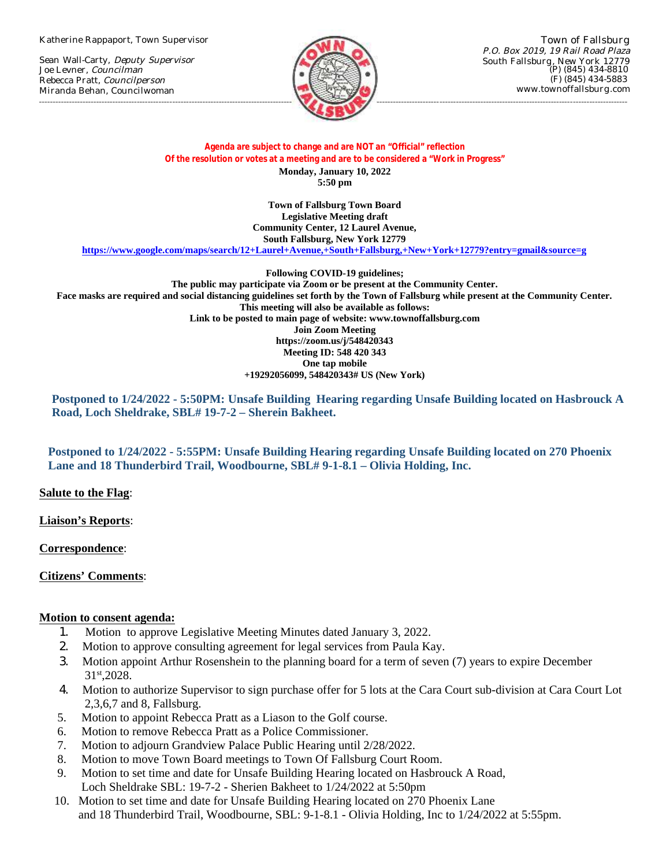Katherine Rappaport, Town Supervisor

Sean Wall-Carty, Deputy Supervisor Joe Levner, Councilman Rebecca Pratt, Councilperson Miranda Behan, Councilwoman



Town of Fallsburg P.O. Box 2019, 19 Rail Road Plaza South Fallsburg, New York 12779 (P) (845) 434-8810 (F) (845) 434-5883 www.townoffallsburg.com

## **Agenda are subject to change and are NOT an "Official" reflection Of the resolution or votes at a meeting and are to be considered a "Work in Progress" Monday, January 10, 2022 5:50 pm**

**Town of Fallsburg Town Board [Legislative Meeting draft](https://www.google.com/maps/search/12+Laurel+Avenue,+South+Fallsburg,+New+York+12779?entry=gmail&source=g) Community Center, 12 Laurel Avenue, South Fallsburg, New York 12779**

**https://www.google.com/maps/search/12+Laurel+Avenue,+South+Fallsburg,+New+York+12779?entry=gmail&source=g**

**Following COVID-19 guidelines; The public may participate via Zoom or be present at the Community Center. Face masks are required and social distancing guidelines set forth by the Town of Fallsburg while present at the Community Center. This meeting will also be available as follows: Link to be posted to main page of website: www.townoffallsburg.com Join Zoom Meeting https://zoom.us/j/548420343 Meeting ID: 548 420 343 One tap mobile +19292056099, 548420343# US (New York)**

**Postponed to 1/24/2022 - 5:50PM: Unsafe Building Hearing regarding Unsafe Building located on Hasbrouck A Road, Loch Sheldrake, SBL# 19-7-2 – Sherein Bakheet.**

**Postponed to 1/24/2022 - 5:55PM: Unsafe Building Hearing regarding Unsafe Building located on 270 Phoenix Lane and 18 Thunderbird Trail, Woodbourne, SBL# 9-1-8.1 – Olivia Holding, Inc.**

**Salute to the Flag**:

**Liaison's Reports**:

**Correspondence**:

**Citizens' Comments**:

## **Motion to consent agenda:**

- 1. Motion to approve Legislative Meeting Minutes dated January 3, 2022.
- 2. Motion to approve consulting agreement for legal services from Paula Kay.
- 3. Motion appoint Arthur Rosenshein to the planning board for a term of seven (7) years to expire December 31st,2028.
- 4. Motion to authorize Supervisor to sign purchase offer for 5 lots at the Cara Court sub-division at Cara Court Lot 2,3,6,7 and 8, Fallsburg.
- 5. Motion to appoint Rebecca Pratt as a Liason to the Golf course.
- 6. Motion to remove Rebecca Pratt as a Police Commissioner.
- 7. Motion to adjourn Grandview Palace Public Hearing until 2/28/2022.
- 8. Motion to move Town Board meetings to Town Of Fallsburg Court Room.
- 9. Motion to set time and date for Unsafe Building Hearing located on Hasbrouck A Road, Loch Sheldrake SBL: 19-7-2 - Sherien Bakheet to 1/24/2022 at 5:50pm
- 10. Motion to set time and date for Unsafe Building Hearing located on 270 Phoenix Lane and 18 Thunderbird Trail, Woodbourne, SBL: 9-1-8.1 - Olivia Holding, Inc to 1/24/2022 at 5:55pm.